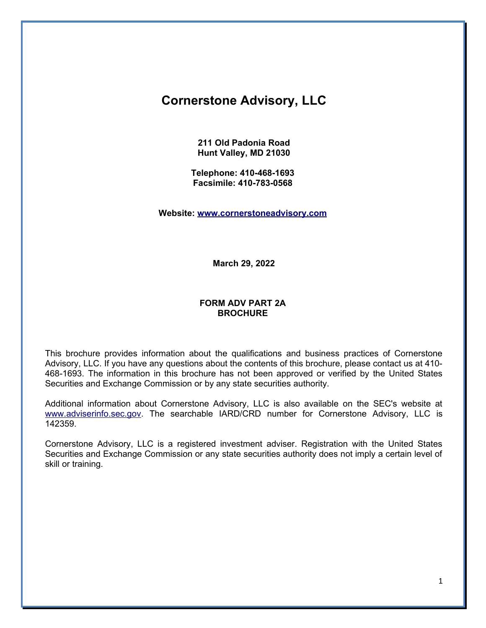# **Cornerstone Advisory, LLC**

**211 Old Padonia Road Hunt Valley, MD 21030**

**Telephone: 410-468-1693 Facsimile: 410-783-0568**

**Website: [www.cornerstoneadvisory.com](http://www.cornerstoneadvisory.com/)**

**March 29, 2022**

### **FORM ADV PART 2A BROCHURE**

This brochure provides information about the qualifications and business practices of Cornerstone Advisory, LLC. If you have any questions about the contents of this brochure, please contact us at 410- 468-1693. The information in this brochure has not been approved or verified by the United States Securities and Exchange Commission or by any state securities authority.

Additional information about Cornerstone Advisory, LLC is also available on the SEC's website at [www.adviserinfo.sec.gov.](http://www.adviserinfo.sec.gov/) The searchable IARD/CRD number for Cornerstone Advisory, LLC is 142359.

Cornerstone Advisory, LLC is a registered investment adviser. Registration with the United States Securities and Exchange Commission or any state securities authority does not imply a certain level of skill or training.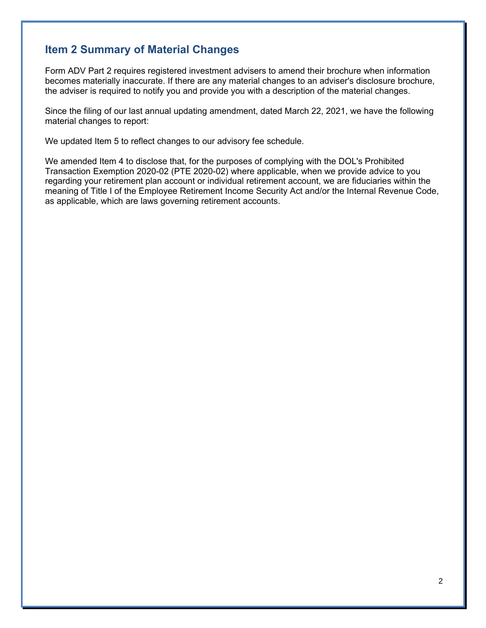## **Item 2 Summary of Material Changes**

Form ADV Part 2 requires registered investment advisers to amend their brochure when information becomes materially inaccurate. If there are any material changes to an adviser's disclosure brochure, the adviser is required to notify you and provide you with a description of the material changes.

Since the filing of our last annual updating amendment, dated March 22, 2021, we have the following material changes to report:

We updated Item 5 to reflect changes to our advisory fee schedule.

We amended Item 4 to disclose that, for the purposes of complying with the DOL's Prohibited Transaction Exemption 2020-02 (PTE 2020-02) where applicable, when we provide advice to you regarding your retirement plan account or individual retirement account, we are fiduciaries within the meaning of Title I of the Employee Retirement Income Security Act and/or the Internal Revenue Code, as applicable, which are laws governing retirement accounts.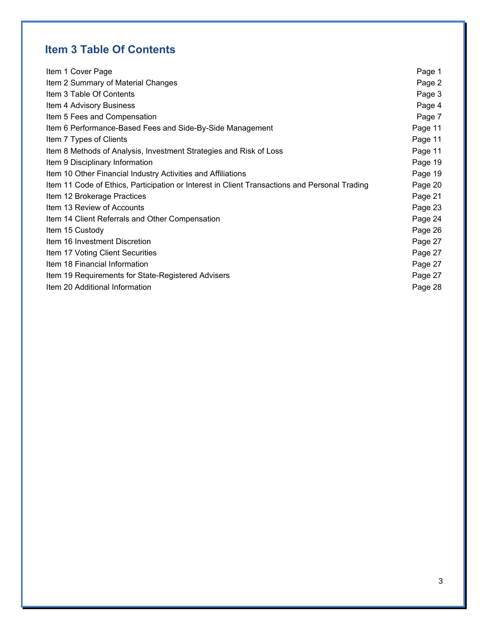# **Item 3 Table Of Contents**

| Item 1 Cover Page                                                                             | Page 1  |
|-----------------------------------------------------------------------------------------------|---------|
| Item 2 Summary of Material Changes                                                            | Page 2  |
| Item 3 Table Of Contents                                                                      | Page 3  |
| Item 4 Advisory Business                                                                      | Page 4  |
| Item 5 Fees and Compensation                                                                  | Page 7  |
| Item 6 Performance-Based Fees and Side-By-Side Management                                     | Page 11 |
| Item 7 Types of Clients                                                                       | Page 11 |
| Item 8 Methods of Analysis, Investment Strategies and Risk of Loss                            | Page 11 |
| Item 9 Disciplinary Information                                                               | Page 19 |
| Item 10 Other Financial Industry Activities and Affiliations                                  | Page 19 |
| Item 11 Code of Ethics, Participation or Interest in Client Transactions and Personal Trading | Page 20 |
| Item 12 Brokerage Practices                                                                   | Page 21 |
| Item 13 Review of Accounts                                                                    | Page 23 |
| Item 14 Client Referrals and Other Compensation                                               | Page 24 |
| Item 15 Custody                                                                               | Page 26 |
| Item 16 Investment Discretion                                                                 | Page 27 |
| Item 17 Voting Client Securities                                                              | Page 27 |
| Item 18 Financial Information                                                                 | Page 27 |
| Item 19 Requirements for State-Registered Advisers                                            | Page 27 |
| Item 20 Additional Information                                                                | Page 28 |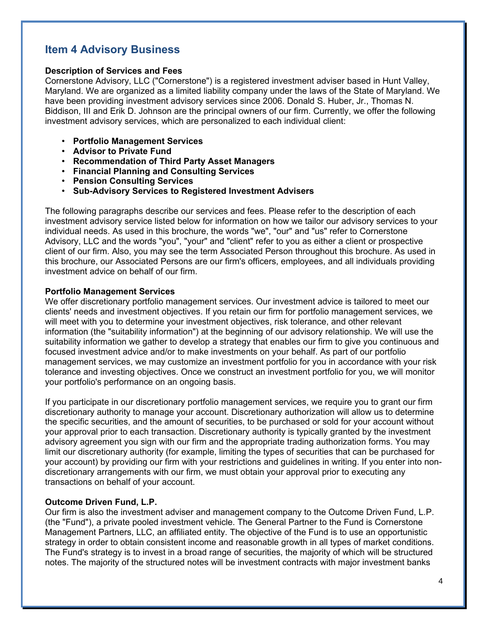## **Item 4 Advisory Business**

### **Description of Services and Fees**

Cornerstone Advisory, LLC ("Cornerstone") is a registered investment adviser based in Hunt Valley, Maryland. We are organized as a limited liability company under the laws of the State of Maryland. We have been providing investment advisory services since 2006. Donald S. Huber, Jr., Thomas N. Biddison, III and Erik D. Johnson are the principal owners of our firm. Currently, we offer the following investment advisory services, which are personalized to each individual client:

- **Portfolio Management Services**
- **Advisor to Private Fund**
- **Recommendation of Third Party Asset Managers**
- **Financial Planning and Consulting Services**
- **Pension Consulting Services**
- **Sub-Advisory Services to Registered Investment Advisers**

The following paragraphs describe our services and fees. Please refer to the description of each investment advisory service listed below for information on how we tailor our advisory services to your individual needs. As used in this brochure, the words "we", "our" and "us" refer to Cornerstone Advisory, LLC and the words "you", "your" and "client" refer to you as either a client or prospective client of our firm. Also, you may see the term Associated Person throughout this brochure. As used in this brochure, our Associated Persons are our firm's officers, employees, and all individuals providing investment advice on behalf of our firm.

### **Portfolio Management Services**

We offer discretionary portfolio management services. Our investment advice is tailored to meet our clients' needs and investment objectives. If you retain our firm for portfolio management services, we will meet with you to determine your investment objectives, risk tolerance, and other relevant information (the "suitability information") at the beginning of our advisory relationship. We will use the suitability information we gather to develop a strategy that enables our firm to give you continuous and focused investment advice and/or to make investments on your behalf. As part of our portfolio management services, we may customize an investment portfolio for you in accordance with your risk tolerance and investing objectives. Once we construct an investment portfolio for you, we will monitor your portfolio's performance on an ongoing basis.

If you participate in our discretionary portfolio management services, we require you to grant our firm discretionary authority to manage your account. Discretionary authorization will allow us to determine the specific securities, and the amount of securities, to be purchased or sold for your account without your approval prior to each transaction. Discretionary authority is typically granted by the investment advisory agreement you sign with our firm and the appropriate trading authorization forms. You may limit our discretionary authority (for example, limiting the types of securities that can be purchased for your account) by providing our firm with your restrictions and guidelines in writing. If you enter into nondiscretionary arrangements with our firm, we must obtain your approval prior to executing any transactions on behalf of your account.

### **Outcome Driven Fund, L.P.**

Our firm is also the investment adviser and management company to the Outcome Driven Fund, L.P. (the "Fund"), a private pooled investment vehicle. The General Partner to the Fund is Cornerstone Management Partners, LLC, an affiliated entity. The objective of the Fund is to use an opportunistic strategy in order to obtain consistent income and reasonable growth in all types of market conditions. The Fund's strategy is to invest in a broad range of securities, the majority of which will be structured notes. The majority of the structured notes will be investment contracts with major investment banks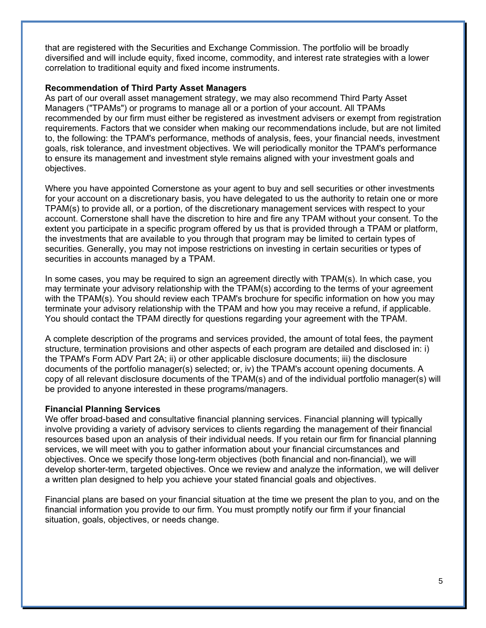that are registered with the Securities and Exchange Commission. The portfolio will be broadly diversified and will include equity, fixed income, commodity, and interest rate strategies with a lower correlation to traditional equity and fixed income instruments.

### **Recommendation of Third Party Asset Managers**

As part of our overall asset management strategy, we may also recommend Third Party Asset Managers ("TPAMs") or programs to manage all or a portion of your account. All TPAMs recommended by our firm must either be registered as investment advisers or exempt from registration requirements. Factors that we consider when making our recommendations include, but are not limited to, the following: the TPAM's performance, methods of analysis, fees, your financial needs, investment goals, risk tolerance, and investment objectives. We will periodically monitor the TPAM's performance to ensure its management and investment style remains aligned with your investment goals and objectives.

Where you have appointed Cornerstone as your agent to buy and sell securities or other investments for your account on a discretionary basis, you have delegated to us the authority to retain one or more TPAM(s) to provide all, or a portion, of the discretionary management services with respect to your account. Cornerstone shall have the discretion to hire and fire any TPAM without your consent. To the extent you participate in a specific program offered by us that is provided through a TPAM or platform, the investments that are available to you through that program may be limited to certain types of securities. Generally, you may not impose restrictions on investing in certain securities or types of securities in accounts managed by a TPAM.

In some cases, you may be required to sign an agreement directly with TPAM(s). In which case, you may terminate your advisory relationship with the TPAM(s) according to the terms of your agreement with the TPAM(s). You should review each TPAM's brochure for specific information on how you may terminate your advisory relationship with the TPAM and how you may receive a refund, if applicable. You should contact the TPAM directly for questions regarding your agreement with the TPAM.

A complete description of the programs and services provided, the amount of total fees, the payment structure, termination provisions and other aspects of each program are detailed and disclosed in: i) the TPAM's Form ADV Part 2A; ii) or other applicable disclosure documents; iii) the disclosure documents of the portfolio manager(s) selected; or, iv) the TPAM's account opening documents. A copy of all relevant disclosure documents of the TPAM(s) and of the individual portfolio manager(s) will be provided to anyone interested in these programs/managers.

#### **Financial Planning Services**

We offer broad-based and consultative financial planning services. Financial planning will typically involve providing a variety of advisory services to clients regarding the management of their financial resources based upon an analysis of their individual needs. If you retain our firm for financial planning services, we will meet with you to gather information about your financial circumstances and objectives. Once we specify those long-term objectives (both financial and non-financial), we will develop shorter-term, targeted objectives. Once we review and analyze the information, we will deliver a written plan designed to help you achieve your stated financial goals and objectives.

Financial plans are based on your financial situation at the time we present the plan to you, and on the financial information you provide to our firm. You must promptly notify our firm if your financial situation, goals, objectives, or needs change.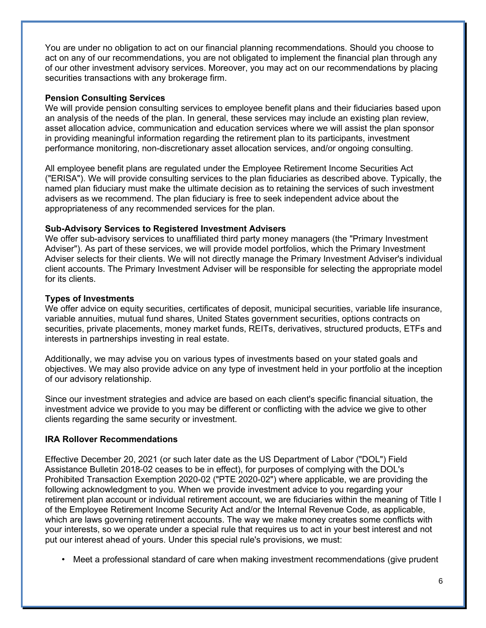You are under no obligation to act on our financial planning recommendations. Should you choose to act on any of our recommendations, you are not obligated to implement the financial plan through any of our other investment advisory services. Moreover, you may act on our recommendations by placing securities transactions with any brokerage firm.

#### **Pension Consulting Services**

We will provide pension consulting services to employee benefit plans and their fiduciaries based upon an analysis of the needs of the plan. In general, these services may include an existing plan review, asset allocation advice, communication and education services where we will assist the plan sponsor in providing meaningful information regarding the retirement plan to its participants, investment performance monitoring, non-discretionary asset allocation services, and/or ongoing consulting.

All employee benefit plans are regulated under the Employee Retirement Income Securities Act ("ERISA"). We will provide consulting services to the plan fiduciaries as described above. Typically, the named plan fiduciary must make the ultimate decision as to retaining the services of such investment advisers as we recommend. The plan fiduciary is free to seek independent advice about the appropriateness of any recommended services for the plan.

### **Sub-Advisory Services to Registered Investment Advisers**

We offer sub-advisory services to unaffiliated third party money managers (the "Primary Investment Adviser"). As part of these services, we will provide model portfolios, which the Primary Investment Adviser selects for their clients. We will not directly manage the Primary Investment Adviser's individual client accounts. The Primary Investment Adviser will be responsible for selecting the appropriate model for its clients.

### **Types of Investments**

We offer advice on equity securities, certificates of deposit, municipal securities, variable life insurance, variable annuities, mutual fund shares, United States government securities, options contracts on securities, private placements, money market funds, REITs, derivatives, structured products, ETFs and interests in partnerships investing in real estate.

Additionally, we may advise you on various types of investments based on your stated goals and objectives. We may also provide advice on any type of investment held in your portfolio at the inception of our advisory relationship.

Since our investment strategies and advice are based on each client's specific financial situation, the investment advice we provide to you may be different or conflicting with the advice we give to other clients regarding the same security or investment.

#### **IRA Rollover Recommendations**

Effective December 20, 2021 (or such later date as the US Department of Labor ("DOL") Field Assistance Bulletin 2018-02 ceases to be in effect), for purposes of complying with the DOL's Prohibited Transaction Exemption 2020-02 ("PTE 2020-02") where applicable, we are providing the following acknowledgment to you. When we provide investment advice to you regarding your retirement plan account or individual retirement account, we are fiduciaries within the meaning of Title I of the Employee Retirement Income Security Act and/or the Internal Revenue Code, as applicable, which are laws governing retirement accounts. The way we make money creates some conflicts with your interests, so we operate under a special rule that requires us to act in your best interest and not put our interest ahead of yours. Under this special rule's provisions, we must:

• Meet a professional standard of care when making investment recommendations (give prudent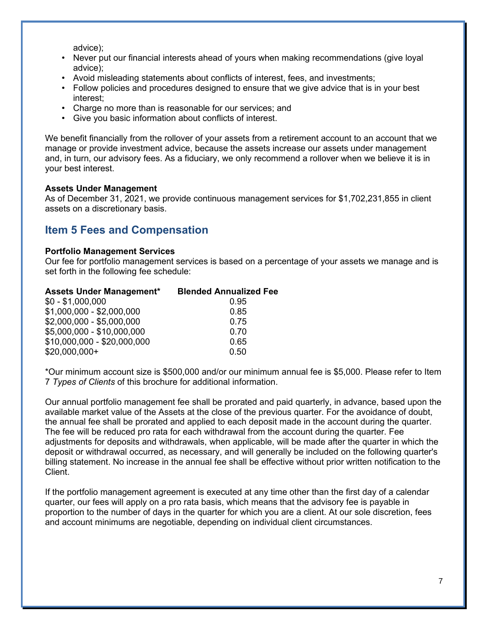advice);

- Never put our financial interests ahead of yours when making recommendations (give loyal advice);
- Avoid misleading statements about conflicts of interest, fees, and investments;
- Follow policies and procedures designed to ensure that we give advice that is in your best interest;
- Charge no more than is reasonable for our services; and
- Give you basic information about conflicts of interest.

We benefit financially from the rollover of your assets from a retirement account to an account that we manage or provide investment advice, because the assets increase our assets under management and, in turn, our advisory fees. As a fiduciary, we only recommend a rollover when we believe it is in your best interest.

### **Assets Under Management**

As of December 31, 2021, we provide continuous management services for \$1,702,231,855 in client assets on a discretionary basis.

## **Item 5 Fees and Compensation**

#### **Portfolio Management Services**

Our fee for portfolio management services is based on a percentage of your assets we manage and is set forth in the following fee schedule:

| <b>Blended Annualized Fee</b> |
|-------------------------------|
|                               |
|                               |
|                               |
|                               |
|                               |
|                               |
|                               |

\*Our minimum account size is \$500,000 and/or our minimum annual fee is \$5,000. Please refer to Item 7 *Types of Clients* of this brochure for additional information.

Our annual portfolio management fee shall be prorated and paid quarterly, in advance, based upon the available market value of the Assets at the close of the previous quarter. For the avoidance of doubt, the annual fee shall be prorated and applied to each deposit made in the account during the quarter. The fee will be reduced pro rata for each withdrawal from the account during the quarter. Fee adjustments for deposits and withdrawals, when applicable, will be made after the quarter in which the deposit or withdrawal occurred, as necessary, and will generally be included on the following quarter's billing statement. No increase in the annual fee shall be effective without prior written notification to the Client.

If the portfolio management agreement is executed at any time other than the first day of a calendar quarter, our fees will apply on a pro rata basis, which means that the advisory fee is payable in proportion to the number of days in the quarter for which you are a client. At our sole discretion, fees and account minimums are negotiable, depending on individual client circumstances.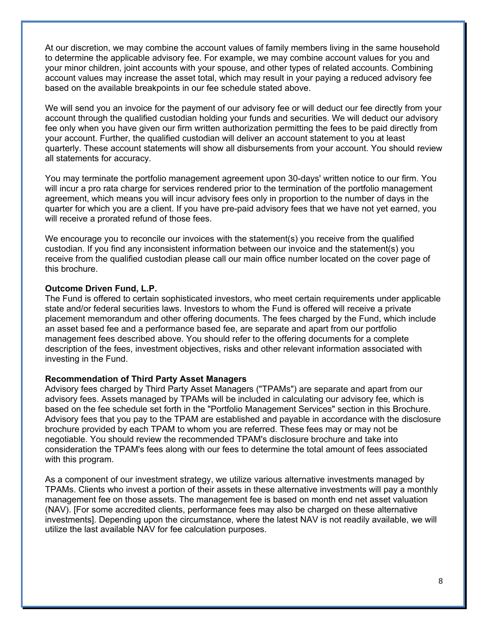At our discretion, we may combine the account values of family members living in the same household to determine the applicable advisory fee. For example, we may combine account values for you and your minor children, joint accounts with your spouse, and other types of related accounts. Combining account values may increase the asset total, which may result in your paying a reduced advisory fee based on the available breakpoints in our fee schedule stated above.

We will send you an invoice for the payment of our advisory fee or will deduct our fee directly from your account through the qualified custodian holding your funds and securities. We will deduct our advisory fee only when you have given our firm written authorization permitting the fees to be paid directly from your account. Further, the qualified custodian will deliver an account statement to you at least quarterly. These account statements will show all disbursements from your account. You should review all statements for accuracy.

You may terminate the portfolio management agreement upon 30-days' written notice to our firm. You will incur a pro rata charge for services rendered prior to the termination of the portfolio management agreement, which means you will incur advisory fees only in proportion to the number of days in the quarter for which you are a client. If you have pre-paid advisory fees that we have not yet earned, you will receive a prorated refund of those fees.

We encourage you to reconcile our invoices with the statement(s) you receive from the qualified custodian. If you find any inconsistent information between our invoice and the statement(s) you receive from the qualified custodian please call our main office number located on the cover page of this brochure.

#### **Outcome Driven Fund, L.P.**

The Fund is offered to certain sophisticated investors, who meet certain requirements under applicable state and/or federal securities laws. Investors to whom the Fund is offered will receive a private placement memorandum and other offering documents. The fees charged by the Fund, which include an asset based fee and a performance based fee, are separate and apart from our portfolio management fees described above. You should refer to the offering documents for a complete description of the fees, investment objectives, risks and other relevant information associated with investing in the Fund.

#### **Recommendation of Third Party Asset Managers**

Advisory fees charged by Third Party Asset Managers ("TPAMs") are separate and apart from our advisory fees. Assets managed by TPAMs will be included in calculating our advisory fee, which is based on the fee schedule set forth in the "Portfolio Management Services" section in this Brochure. Advisory fees that you pay to the TPAM are established and payable in accordance with the disclosure brochure provided by each TPAM to whom you are referred. These fees may or may not be negotiable. You should review the recommended TPAM's disclosure brochure and take into consideration the TPAM's fees along with our fees to determine the total amount of fees associated with this program.

As a component of our investment strategy, we utilize various alternative investments managed by TPAMs. Clients who invest a portion of their assets in these alternative investments will pay a monthly management fee on those assets. The management fee is based on month end net asset valuation (NAV). [For some accredited clients, performance fees may also be charged on these alternative investments]. Depending upon the circumstance, where the latest NAV is not readily available, we will utilize the last available NAV for fee calculation purposes.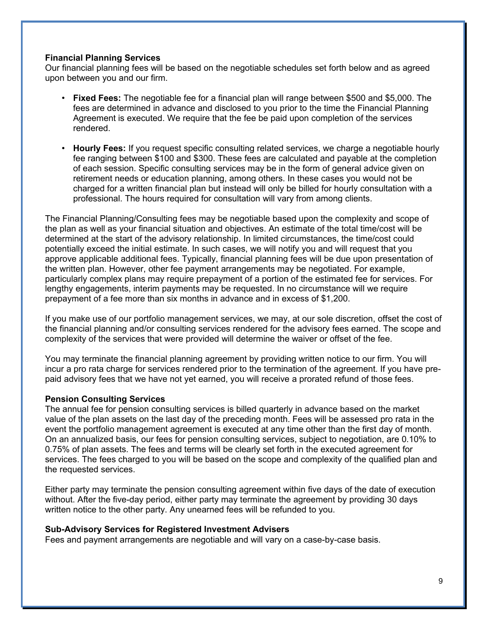### **Financial Planning Services**

Our financial planning fees will be based on the negotiable schedules set forth below and as agreed upon between you and our firm.

- **Fixed Fees:** The negotiable fee for a financial plan will range between \$500 and \$5,000. The fees are determined in advance and disclosed to you prior to the time the Financial Planning Agreement is executed. We require that the fee be paid upon completion of the services rendered.
- **Hourly Fees:** If you request specific consulting related services, we charge a negotiable hourly fee ranging between \$100 and \$300. These fees are calculated and payable at the completion of each session. Specific consulting services may be in the form of general advice given on retirement needs or education planning, among others. In these cases you would not be charged for a written financial plan but instead will only be billed for hourly consultation with a professional. The hours required for consultation will vary from among clients.

The Financial Planning/Consulting fees may be negotiable based upon the complexity and scope of the plan as well as your financial situation and objectives. An estimate of the total time/cost will be determined at the start of the advisory relationship. In limited circumstances, the time/cost could potentially exceed the initial estimate. In such cases, we will notify you and will request that you approve applicable additional fees. Typically, financial planning fees will be due upon presentation of the written plan. However, other fee payment arrangements may be negotiated. For example, particularly complex plans may require prepayment of a portion of the estimated fee for services. For lengthy engagements, interim payments may be requested. In no circumstance will we require prepayment of a fee more than six months in advance and in excess of \$1,200.

If you make use of our portfolio management services, we may, at our sole discretion, offset the cost of the financial planning and/or consulting services rendered for the advisory fees earned. The scope and complexity of the services that were provided will determine the waiver or offset of the fee.

You may terminate the financial planning agreement by providing written notice to our firm. You will incur a pro rata charge for services rendered prior to the termination of the agreement. If you have prepaid advisory fees that we have not yet earned, you will receive a prorated refund of those fees.

#### **Pension Consulting Services**

The annual fee for pension consulting services is billed quarterly in advance based on the market value of the plan assets on the last day of the preceding month. Fees will be assessed pro rata in the event the portfolio management agreement is executed at any time other than the first day of month. On an annualized basis, our fees for pension consulting services, subject to negotiation, are 0.10% to 0.75% of plan assets. The fees and terms will be clearly set forth in the executed agreement for services. The fees charged to you will be based on the scope and complexity of the qualified plan and the requested services.

Either party may terminate the pension consulting agreement within five days of the date of execution without. After the five-day period, either party may terminate the agreement by providing 30 days written notice to the other party. Any unearned fees will be refunded to you.

#### **Sub-Advisory Services for Registered Investment Advisers**

Fees and payment arrangements are negotiable and will vary on a case-by-case basis.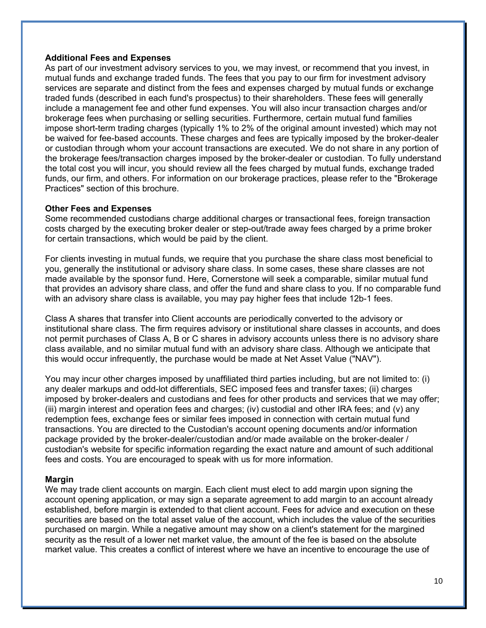#### **Additional Fees and Expenses**

As part of our investment advisory services to you, we may invest, or recommend that you invest, in mutual funds and exchange traded funds. The fees that you pay to our firm for investment advisory services are separate and distinct from the fees and expenses charged by mutual funds or exchange traded funds (described in each fund's prospectus) to their shareholders. These fees will generally include a management fee and other fund expenses. You will also incur transaction charges and/or brokerage fees when purchasing or selling securities. Furthermore, certain mutual fund families impose short-term trading charges (typically 1% to 2% of the original amount invested) which may not be waived for fee-based accounts. These charges and fees are typically imposed by the broker-dealer or custodian through whom your account transactions are executed. We do not share in any portion of the brokerage fees/transaction charges imposed by the broker-dealer or custodian. To fully understand the total cost you will incur, you should review all the fees charged by mutual funds, exchange traded funds, our firm, and others. For information on our brokerage practices, please refer to the "Brokerage Practices" section of this brochure.

### **Other Fees and Expenses**

Some recommended custodians charge additional charges or transactional fees, foreign transaction costs charged by the executing broker dealer or step-out/trade away fees charged by a prime broker for certain transactions, which would be paid by the client.

For clients investing in mutual funds, we require that you purchase the share class most beneficial to you, generally the institutional or advisory share class. In some cases, these share classes are not made available by the sponsor fund. Here, Cornerstone will seek a comparable, similar mutual fund that provides an advisory share class, and offer the fund and share class to you. If no comparable fund with an advisory share class is available, you may pay higher fees that include 12b-1 fees.

Class A shares that transfer into Client accounts are periodically converted to the advisory or institutional share class. The firm requires advisory or institutional share classes in accounts, and does not permit purchases of Class A, B or C shares in advisory accounts unless there is no advisory share class available, and no similar mutual fund with an advisory share class. Although we anticipate that this would occur infrequently, the purchase would be made at Net Asset Value ("NAV").

You may incur other charges imposed by unaffiliated third parties including, but are not limited to: (i) any dealer markups and odd-lot differentials, SEC imposed fees and transfer taxes; (ii) charges imposed by broker-dealers and custodians and fees for other products and services that we may offer; (iii) margin interest and operation fees and charges; (iv) custodial and other IRA fees; and (v) any redemption fees, exchange fees or similar fees imposed in connection with certain mutual fund transactions. You are directed to the Custodian's account opening documents and/or information package provided by the broker-dealer/custodian and/or made available on the broker-dealer / custodian's website for specific information regarding the exact nature and amount of such additional fees and costs. You are encouraged to speak with us for more information.

### **Margin**

We may trade client accounts on margin. Each client must elect to add margin upon signing the account opening application, or may sign a separate agreement to add margin to an account already established, before margin is extended to that client account. Fees for advice and execution on these securities are based on the total asset value of the account, which includes the value of the securities purchased on margin. While a negative amount may show on a client's statement for the margined security as the result of a lower net market value, the amount of the fee is based on the absolute market value. This creates a conflict of interest where we have an incentive to encourage the use of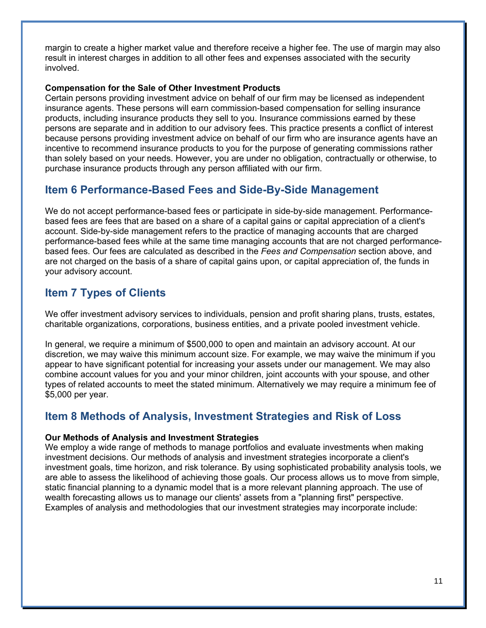margin to create a higher market value and therefore receive a higher fee. The use of margin may also result in interest charges in addition to all other fees and expenses associated with the security involved.

### **Compensation for the Sale of Other Investment Products**

Certain persons providing investment advice on behalf of our firm may be licensed as independent insurance agents. These persons will earn commission-based compensation for selling insurance products, including insurance products they sell to you. Insurance commissions earned by these persons are separate and in addition to our advisory fees. This practice presents a conflict of interest because persons providing investment advice on behalf of our firm who are insurance agents have an incentive to recommend insurance products to you for the purpose of generating commissions rather than solely based on your needs. However, you are under no obligation, contractually or otherwise, to purchase insurance products through any person affiliated with our firm.

## **Item 6 Performance-Based Fees and Side-By-Side Management**

We do not accept performance-based fees or participate in side-by-side management. Performancebased fees are fees that are based on a share of a capital gains or capital appreciation of a client's account. Side-by-side management refers to the practice of managing accounts that are charged performance-based fees while at the same time managing accounts that are not charged performancebased fees. Our fees are calculated as described in the *Fees and Compensation* section above, and are not charged on the basis of a share of capital gains upon, or capital appreciation of, the funds in your advisory account.

## **Item 7 Types of Clients**

We offer investment advisory services to individuals, pension and profit sharing plans, trusts, estates, charitable organizations, corporations, business entities, and a private pooled investment vehicle.

In general, we require a minimum of \$500,000 to open and maintain an advisory account. At our discretion, we may waive this minimum account size. For example, we may waive the minimum if you appear to have significant potential for increasing your assets under our management. We may also combine account values for you and your minor children, joint accounts with your spouse, and other types of related accounts to meet the stated minimum. Alternatively we may require a minimum fee of \$5,000 per year.

## **Item 8 Methods of Analysis, Investment Strategies and Risk of Loss**

#### **Our Methods of Analysis and Investment Strategies**

We employ a wide range of methods to manage portfolios and evaluate investments when making investment decisions. Our methods of analysis and investment strategies incorporate a client's investment goals, time horizon, and risk tolerance. By using sophisticated probability analysis tools, we are able to assess the likelihood of achieving those goals. Our process allows us to move from simple, static financial planning to a dynamic model that is a more relevant planning approach. The use of wealth forecasting allows us to manage our clients' assets from a "planning first" perspective. Examples of analysis and methodologies that our investment strategies may incorporate include: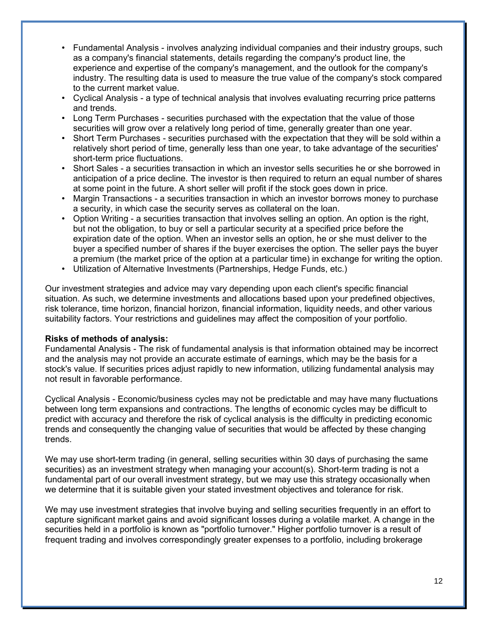- Fundamental Analysis involves analyzing individual companies and their industry groups, such as a company's financial statements, details regarding the company's product line, the experience and expertise of the company's management, and the outlook for the company's industry. The resulting data is used to measure the true value of the company's stock compared to the current market value.
- Cyclical Analysis a type of technical analysis that involves evaluating recurring price patterns and trends.
- Long Term Purchases securities purchased with the expectation that the value of those securities will grow over a relatively long period of time, generally greater than one year.
- Short Term Purchases securities purchased with the expectation that they will be sold within a relatively short period of time, generally less than one year, to take advantage of the securities' short-term price fluctuations.
- Short Sales a securities transaction in which an investor sells securities he or she borrowed in anticipation of a price decline. The investor is then required to return an equal number of shares at some point in the future. A short seller will profit if the stock goes down in price.
- Margin Transactions a securities transaction in which an investor borrows money to purchase a security, in which case the security serves as collateral on the loan.
- Option Writing a securities transaction that involves selling an option. An option is the right, but not the obligation, to buy or sell a particular security at a specified price before the expiration date of the option. When an investor sells an option, he or she must deliver to the buyer a specified number of shares if the buyer exercises the option. The seller pays the buyer a premium (the market price of the option at a particular time) in exchange for writing the option.
- Utilization of Alternative Investments (Partnerships, Hedge Funds, etc.)

Our investment strategies and advice may vary depending upon each client's specific financial situation. As such, we determine investments and allocations based upon your predefined objectives, risk tolerance, time horizon, financial horizon, financial information, liquidity needs, and other various suitability factors. Your restrictions and guidelines may affect the composition of your portfolio.

#### **Risks of methods of analysis:**

Fundamental Analysis - The risk of fundamental analysis is that information obtained may be incorrect and the analysis may not provide an accurate estimate of earnings, which may be the basis for a stock's value. If securities prices adjust rapidly to new information, utilizing fundamental analysis may not result in favorable performance.

Cyclical Analysis - Economic/business cycles may not be predictable and may have many fluctuations between long term expansions and contractions. The lengths of economic cycles may be difficult to predict with accuracy and therefore the risk of cyclical analysis is the difficulty in predicting economic trends and consequently the changing value of securities that would be affected by these changing trends.

We may use short-term trading (in general, selling securities within 30 days of purchasing the same securities) as an investment strategy when managing your account(s). Short-term trading is not a fundamental part of our overall investment strategy, but we may use this strategy occasionally when we determine that it is suitable given your stated investment objectives and tolerance for risk.

We may use investment strategies that involve buying and selling securities frequently in an effort to capture significant market gains and avoid significant losses during a volatile market. A change in the securities held in a portfolio is known as "portfolio turnover." Higher portfolio turnover is a result of frequent trading and involves correspondingly greater expenses to a portfolio, including brokerage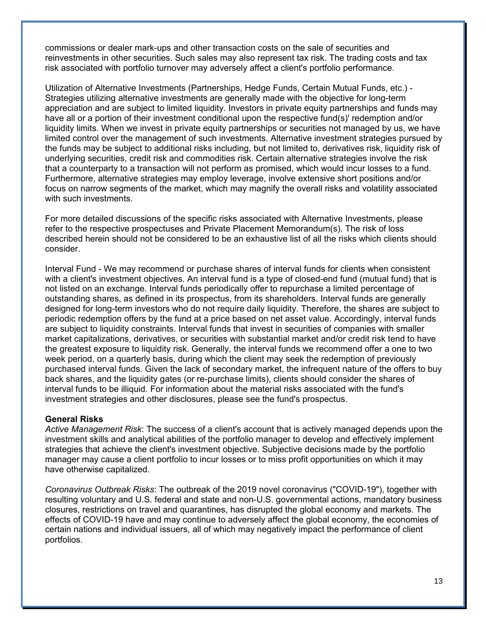commissions or dealer mark-ups and other transaction costs on the sale of securities and reinvestments in other securities. Such sales may also represent tax risk. The trading costs and tax risk associated with portfolio turnover may adversely affect a client's portfolio performance.

Utilization of Alternative Investments (Partnerships, Hedge Funds, Certain Mutual Funds, etc.) - Strategies utilizing alternative investments are generally made with the objective for long-term appreciation and are subject to limited liquidity. Investors in private equity partnerships and funds may have all or a portion of their investment conditional upon the respective fund(s)' redemption and/or liquidity limits. When we invest in private equity partnerships or securities not managed by us, we have limited control over the management of such investments. Alternative investment strategies pursued by the funds may be subject to additional risks including, but not limited to, derivatives risk, liquidity risk of underlying securities, credit risk and commodities risk. Certain alternative strategies involve the risk that a counterparty to a transaction will not perform as promised, which would incur losses to a fund. Furthermore, alternative strategies may employ leverage, involve extensive short positions and/or focus on narrow segments of the market, which may magnify the overall risks and volatility associated with such investments.

For more detailed discussions of the specific risks associated with Alternative Investments, please refer to the respective prospectuses and Private Placement Memorandum(s). The risk of loss described herein should not be considered to be an exhaustive list of all the risks which clients should consider.

Interval Fund - We may recommend or purchase shares of interval funds for clients when consistent with a client's investment objectives. An interval fund is a type of closed-end fund (mutual fund) that is not listed on an exchange. Interval funds periodically offer to repurchase a limited percentage of outstanding shares, as defined in its prospectus, from its shareholders. Interval funds are generally designed for long-term investors who do not require daily liquidity. Therefore, the shares are subject to periodic redemption offers by the fund at a price based on net asset value. Accordingly, interval funds are subject to liquidity constraints. Interval funds that invest in securities of companies with smaller market capitalizations, derivatives, or securities with substantial market and/or credit risk tend to have the greatest exposure to liquidity risk. Generally, the interval funds we recommend offer a one to two week period, on a quarterly basis, during which the client may seek the redemption of previously purchased interval funds. Given the lack of secondary market, the infrequent nature of the offers to buy back shares, and the liquidity gates (or re-purchase limits), clients should consider the shares of interval funds to be illiquid. For information about the material risks associated with the fund's investment strategies and other disclosures, please see the fund's prospectus.

#### **General Risks**

*Active Management Risk*: The success of a client's account that is actively managed depends upon the investment skills and analytical abilities of the portfolio manager to develop and effectively implement strategies that achieve the client's investment objective. Subjective decisions made by the portfolio manager may cause a client portfolio to incur losses or to miss profit opportunities on which it may have otherwise capitalized.

*Coronavirus Outbreak Risks*: The outbreak of the 2019 novel coronavirus ("COVID-19"), together with resulting voluntary and U.S. federal and state and non-U.S. governmental actions, mandatory business closures, restrictions on travel and quarantines, has disrupted the global economy and markets. The effects of COVID-19 have and may continue to adversely affect the global economy, the economies of certain nations and individual issuers, all of which may negatively impact the performance of client portfolios.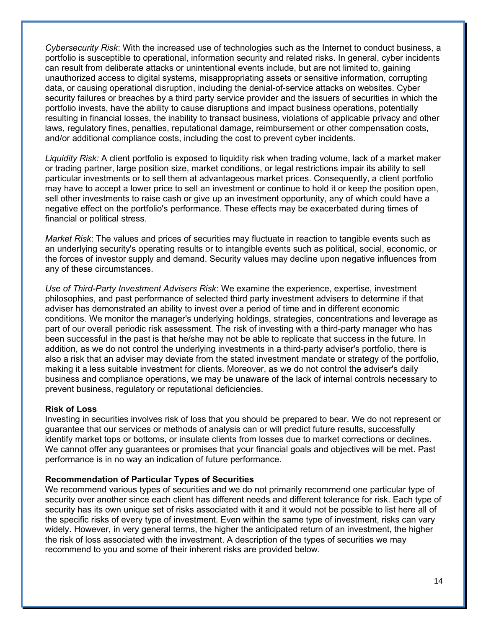*Cybersecurity Risk*: With the increased use of technologies such as the Internet to conduct business, a portfolio is susceptible to operational, information security and related risks. In general, cyber incidents can result from deliberate attacks or unintentional events include, but are not limited to, gaining unauthorized access to digital systems, misappropriating assets or sensitive information, corrupting data, or causing operational disruption, including the denial-of-service attacks on websites. Cyber security failures or breaches by a third party service provider and the issuers of securities in which the portfolio invests, have the ability to cause disruptions and impact business operations, potentially resulting in financial losses, the inability to transact business, violations of applicable privacy and other laws, regulatory fines, penalties, reputational damage, reimbursement or other compensation costs, and/or additional compliance costs, including the cost to prevent cyber incidents.

*Liquidity Risk:* A client portfolio is exposed to liquidity risk when trading volume, lack of a market maker or trading partner, large position size, market conditions, or legal restrictions impair its ability to sell particular investments or to sell them at advantageous market prices. Consequently, a client portfolio may have to accept a lower price to sell an investment or continue to hold it or keep the position open, sell other investments to raise cash or give up an investment opportunity, any of which could have a negative effect on the portfolio's performance. These effects may be exacerbated during times of financial or political stress.

*Market Risk*: The values and prices of securities may fluctuate in reaction to tangible events such as an underlying security's operating results or to intangible events such as political, social, economic, or the forces of investor supply and demand. Security values may decline upon negative influences from any of these circumstances.

*Use of Third-Party Investment Advisers Risk*: We examine the experience, expertise, investment philosophies, and past performance of selected third party investment advisers to determine if that adviser has demonstrated an ability to invest over a period of time and in different economic conditions. We monitor the manager's underlying holdings, strategies, concentrations and leverage as part of our overall periodic risk assessment. The risk of investing with a third-party manager who has been successful in the past is that he/she may not be able to replicate that success in the future. In addition, as we do not control the underlying investments in a third-party adviser's portfolio, there is also a risk that an adviser may deviate from the stated investment mandate or strategy of the portfolio, making it a less suitable investment for clients. Moreover, as we do not control the adviser's daily business and compliance operations, we may be unaware of the lack of internal controls necessary to prevent business, regulatory or reputational deficiencies.

#### **Risk of Loss**

Investing in securities involves risk of loss that you should be prepared to bear. We do not represent or guarantee that our services or methods of analysis can or will predict future results, successfully identify market tops or bottoms, or insulate clients from losses due to market corrections or declines. We cannot offer any guarantees or promises that your financial goals and objectives will be met. Past performance is in no way an indication of future performance.

#### **Recommendation of Particular Types of Securities**

We recommend various types of securities and we do not primarily recommend one particular type of security over another since each client has different needs and different tolerance for risk. Each type of security has its own unique set of risks associated with it and it would not be possible to list here all of the specific risks of every type of investment. Even within the same type of investment, risks can vary widely. However, in very general terms, the higher the anticipated return of an investment, the higher the risk of loss associated with the investment. A description of the types of securities we may recommend to you and some of their inherent risks are provided below.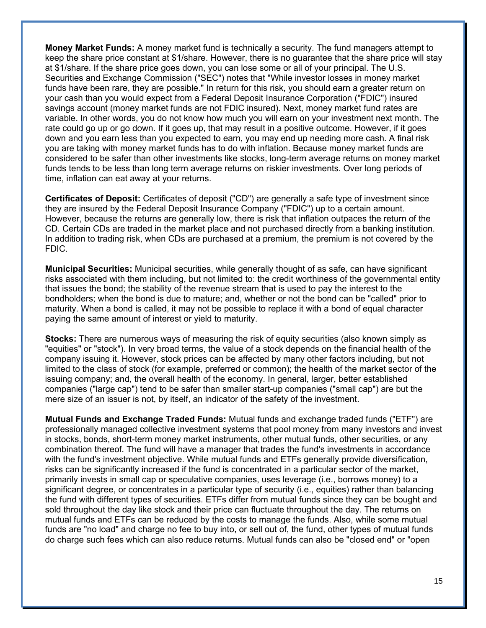**Money Market Funds:** A money market fund is technically a security. The fund managers attempt to keep the share price constant at \$1/share. However, there is no guarantee that the share price will stay at \$1/share. If the share price goes down, you can lose some or all of your principal. The U.S. Securities and Exchange Commission ("SEC") notes that "While investor losses in money market funds have been rare, they are possible." In return for this risk, you should earn a greater return on your cash than you would expect from a Federal Deposit Insurance Corporation ("FDIC") insured savings account (money market funds are not FDIC insured). Next, money market fund rates are variable. In other words, you do not know how much you will earn on your investment next month. The rate could go up or go down. If it goes up, that may result in a positive outcome. However, if it goes down and you earn less than you expected to earn, you may end up needing more cash. A final risk you are taking with money market funds has to do with inflation. Because money market funds are considered to be safer than other investments like stocks, long-term average returns on money market funds tends to be less than long term average returns on riskier investments. Over long periods of time, inflation can eat away at your returns.

**Certificates of Deposit:** Certificates of deposit ("CD") are generally a safe type of investment since they are insured by the Federal Deposit Insurance Company ("FDIC") up to a certain amount. However, because the returns are generally low, there is risk that inflation outpaces the return of the CD. Certain CDs are traded in the market place and not purchased directly from a banking institution. In addition to trading risk, when CDs are purchased at a premium, the premium is not covered by the FDIC.

**Municipal Securities:** Municipal securities, while generally thought of as safe, can have significant risks associated with them including, but not limited to: the credit worthiness of the governmental entity that issues the bond; the stability of the revenue stream that is used to pay the interest to the bondholders; when the bond is due to mature; and, whether or not the bond can be "called" prior to maturity. When a bond is called, it may not be possible to replace it with a bond of equal character paying the same amount of interest or yield to maturity.

**Stocks:** There are numerous ways of measuring the risk of equity securities (also known simply as "equities" or "stock"). In very broad terms, the value of a stock depends on the financial health of the company issuing it. However, stock prices can be affected by many other factors including, but not limited to the class of stock (for example, preferred or common); the health of the market sector of the issuing company; and, the overall health of the economy. In general, larger, better established companies ("large cap") tend to be safer than smaller start-up companies ("small cap") are but the mere size of an issuer is not, by itself, an indicator of the safety of the investment.

**Mutual Funds and Exchange Traded Funds:** Mutual funds and exchange traded funds ("ETF") are professionally managed collective investment systems that pool money from many investors and invest in stocks, bonds, short-term money market instruments, other mutual funds, other securities, or any combination thereof. The fund will have a manager that trades the fund's investments in accordance with the fund's investment objective. While mutual funds and ETFs generally provide diversification, risks can be significantly increased if the fund is concentrated in a particular sector of the market, primarily invests in small cap or speculative companies, uses leverage (i.e., borrows money) to a significant degree, or concentrates in a particular type of security (i.e., equities) rather than balancing the fund with different types of securities. ETFs differ from mutual funds since they can be bought and sold throughout the day like stock and their price can fluctuate throughout the day. The returns on mutual funds and ETFs can be reduced by the costs to manage the funds. Also, while some mutual funds are "no load" and charge no fee to buy into, or sell out of, the fund, other types of mutual funds do charge such fees which can also reduce returns. Mutual funds can also be "closed end" or "open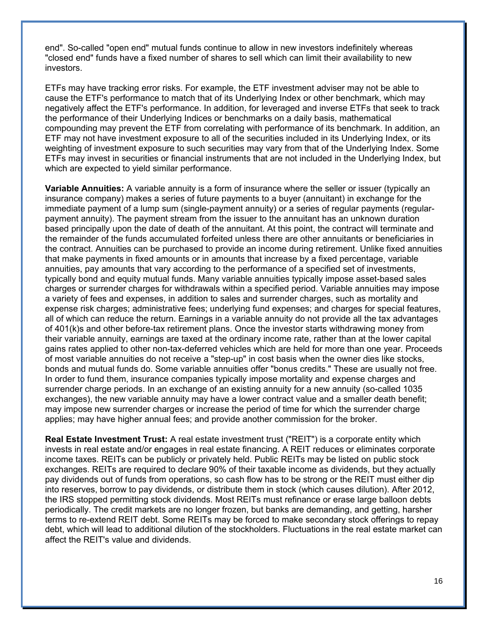end". So-called "open end" mutual funds continue to allow in new investors indefinitely whereas "closed end" funds have a fixed number of shares to sell which can limit their availability to new investors.

ETFs may have tracking error risks. For example, the ETF investment adviser may not be able to cause the ETF's performance to match that of its Underlying Index or other benchmark, which may negatively affect the ETF's performance. In addition, for leveraged and inverse ETFs that seek to track the performance of their Underlying Indices or benchmarks on a daily basis, mathematical compounding may prevent the ETF from correlating with performance of its benchmark. In addition, an ETF may not have investment exposure to all of the securities included in its Underlying Index, or its weighting of investment exposure to such securities may vary from that of the Underlying Index. Some ETFs may invest in securities or financial instruments that are not included in the Underlying Index, but which are expected to yield similar performance.

**Variable Annuities:** A variable annuity is a form of insurance where the seller or issuer (typically an insurance company) makes a series of future payments to a buyer (annuitant) in exchange for the immediate payment of a lump sum (single-payment annuity) or a series of regular payments (regularpayment annuity). The payment stream from the issuer to the annuitant has an unknown duration based principally upon the date of death of the annuitant. At this point, the contract will terminate and the remainder of the funds accumulated forfeited unless there are other annuitants or beneficiaries in the contract. Annuities can be purchased to provide an income during retirement. Unlike fixed annuities that make payments in fixed amounts or in amounts that increase by a fixed percentage, variable annuities, pay amounts that vary according to the performance of a specified set of investments, typically bond and equity mutual funds. Many variable annuities typically impose asset-based sales charges or surrender charges for withdrawals within a specified period. Variable annuities may impose a variety of fees and expenses, in addition to sales and surrender charges, such as mortality and expense risk charges; administrative fees; underlying fund expenses; and charges for special features, all of which can reduce the return. Earnings in a variable annuity do not provide all the tax advantages of 401(k)s and other before-tax retirement plans. Once the investor starts withdrawing money from their variable annuity, earnings are taxed at the ordinary income rate, rather than at the lower capital gains rates applied to other non-tax-deferred vehicles which are held for more than one year. Proceeds of most variable annuities do not receive a "step-up" in cost basis when the owner dies like stocks, bonds and mutual funds do. Some variable annuities offer "bonus credits." These are usually not free. In order to fund them, insurance companies typically impose mortality and expense charges and surrender charge periods. In an exchange of an existing annuity for a new annuity (so-called 1035 exchanges), the new variable annuity may have a lower contract value and a smaller death benefit; may impose new surrender charges or increase the period of time for which the surrender charge applies; may have higher annual fees; and provide another commission for the broker.

**Real Estate Investment Trust:** A real estate investment trust ("REIT") is a corporate entity which invests in real estate and/or engages in real estate financing. A REIT reduces or eliminates corporate income taxes. REITs can be publicly or privately held. Public REITs may be listed on public stock exchanges. REITs are required to declare 90% of their taxable income as dividends, but they actually pay dividends out of funds from operations, so cash flow has to be strong or the REIT must either dip into reserves, borrow to pay dividends, or distribute them in stock (which causes dilution). After 2012, the IRS stopped permitting stock dividends. Most REITs must refinance or erase large balloon debts periodically. The credit markets are no longer frozen, but banks are demanding, and getting, harsher terms to re-extend REIT debt. Some REITs may be forced to make secondary stock offerings to repay debt, which will lead to additional dilution of the stockholders. Fluctuations in the real estate market can affect the REIT's value and dividends.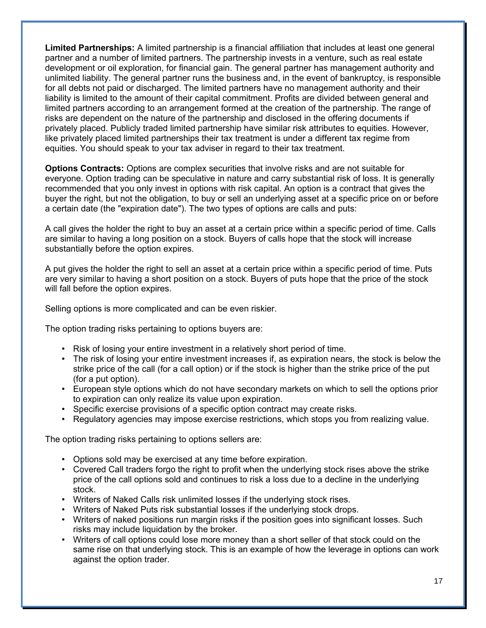**Limited Partnerships:** A limited partnership is a financial affiliation that includes at least one general partner and a number of limited partners. The partnership invests in a venture, such as real estate development or oil exploration, for financial gain. The general partner has management authority and unlimited liability. The general partner runs the business and, in the event of bankruptcy, is responsible for all debts not paid or discharged. The limited partners have no management authority and their liability is limited to the amount of their capital commitment. Profits are divided between general and limited partners according to an arrangement formed at the creation of the partnership. The range of risks are dependent on the nature of the partnership and disclosed in the offering documents if privately placed. Publicly traded limited partnership have similar risk attributes to equities. However, like privately placed limited partnerships their tax treatment is under a different tax regime from equities. You should speak to your tax adviser in regard to their tax treatment.

**Options Contracts:** Options are complex securities that involve risks and are not suitable for everyone. Option trading can be speculative in nature and carry substantial risk of loss. It is generally recommended that you only invest in options with risk capital. An option is a contract that gives the buyer the right, but not the obligation, to buy or sell an underlying asset at a specific price on or before a certain date (the "expiration date"). The two types of options are calls and puts:

A call gives the holder the right to buy an asset at a certain price within a specific period of time. Calls are similar to having a long position on a stock. Buyers of calls hope that the stock will increase substantially before the option expires.

A put gives the holder the right to sell an asset at a certain price within a specific period of time. Puts are very similar to having a short position on a stock. Buyers of puts hope that the price of the stock will fall before the option expires.

Selling options is more complicated and can be even riskier.

The option trading risks pertaining to options buyers are:

- Risk of losing your entire investment in a relatively short period of time.
- The risk of losing your entire investment increases if, as expiration nears, the stock is below the strike price of the call (for a call option) or if the stock is higher than the strike price of the put (for a put option).
- European style options which do not have secondary markets on which to sell the options prior to expiration can only realize its value upon expiration.
- Specific exercise provisions of a specific option contract may create risks.
- Regulatory agencies may impose exercise restrictions, which stops you from realizing value.

The option trading risks pertaining to options sellers are:

- Options sold may be exercised at any time before expiration.
- Covered Call traders forgo the right to profit when the underlying stock rises above the strike price of the call options sold and continues to risk a loss due to a decline in the underlying stock.
- Writers of Naked Calls risk unlimited losses if the underlying stock rises.
- Writers of Naked Puts risk substantial losses if the underlying stock drops.
- Writers of naked positions run margin risks if the position goes into significant losses. Such risks may include liquidation by the broker.
- Writers of call options could lose more money than a short seller of that stock could on the same rise on that underlying stock. This is an example of how the leverage in options can work against the option trader.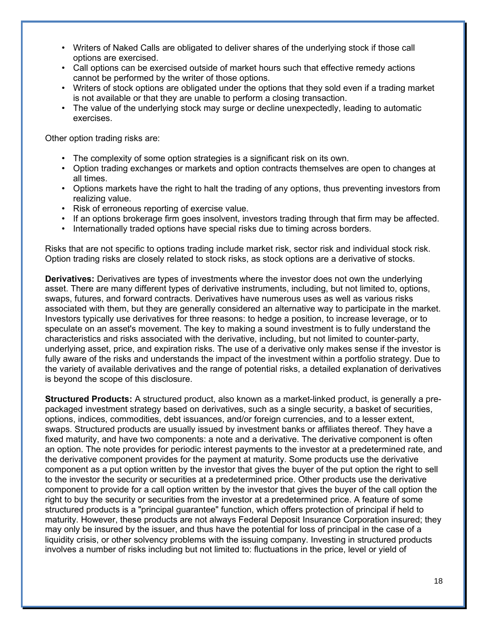- Writers of Naked Calls are obligated to deliver shares of the underlying stock if those call options are exercised.
- Call options can be exercised outside of market hours such that effective remedy actions cannot be performed by the writer of those options.
- Writers of stock options are obligated under the options that they sold even if a trading market is not available or that they are unable to perform a closing transaction.
- The value of the underlying stock may surge or decline unexpectedly, leading to automatic exercises.

Other option trading risks are:

- The complexity of some option strategies is a significant risk on its own.
- Option trading exchanges or markets and option contracts themselves are open to changes at all times.
- Options markets have the right to halt the trading of any options, thus preventing investors from realizing value.
- Risk of erroneous reporting of exercise value.
- If an options brokerage firm goes insolvent, investors trading through that firm may be affected.
- Internationally traded options have special risks due to timing across borders.

Risks that are not specific to options trading include market risk, sector risk and individual stock risk. Option trading risks are closely related to stock risks, as stock options are a derivative of stocks.

**Derivatives:** Derivatives are types of investments where the investor does not own the underlying asset. There are many different types of derivative instruments, including, but not limited to, options, swaps, futures, and forward contracts. Derivatives have numerous uses as well as various risks associated with them, but they are generally considered an alternative way to participate in the market. Investors typically use derivatives for three reasons: to hedge a position, to increase leverage, or to speculate on an asset's movement. The key to making a sound investment is to fully understand the characteristics and risks associated with the derivative, including, but not limited to counter-party, underlying asset, price, and expiration risks. The use of a derivative only makes sense if the investor is fully aware of the risks and understands the impact of the investment within a portfolio strategy. Due to the variety of available derivatives and the range of potential risks, a detailed explanation of derivatives is beyond the scope of this disclosure.

**Structured Products:** A structured product, also known as a market-linked product, is generally a prepackaged investment strategy based on derivatives, such as a single security, a basket of securities, options, indices, commodities, debt issuances, and/or foreign currencies, and to a lesser extent, swaps. Structured products are usually issued by investment banks or affiliates thereof. They have a fixed maturity, and have two components: a note and a derivative. The derivative component is often an option. The note provides for periodic interest payments to the investor at a predetermined rate, and the derivative component provides for the payment at maturity. Some products use the derivative component as a put option written by the investor that gives the buyer of the put option the right to sell to the investor the security or securities at a predetermined price. Other products use the derivative component to provide for a call option written by the investor that gives the buyer of the call option the right to buy the security or securities from the investor at a predetermined price. A feature of some structured products is a "principal guarantee" function, which offers protection of principal if held to maturity. However, these products are not always Federal Deposit Insurance Corporation insured; they may only be insured by the issuer, and thus have the potential for loss of principal in the case of a liquidity crisis, or other solvency problems with the issuing company. Investing in structured products involves a number of risks including but not limited to: fluctuations in the price, level or yield of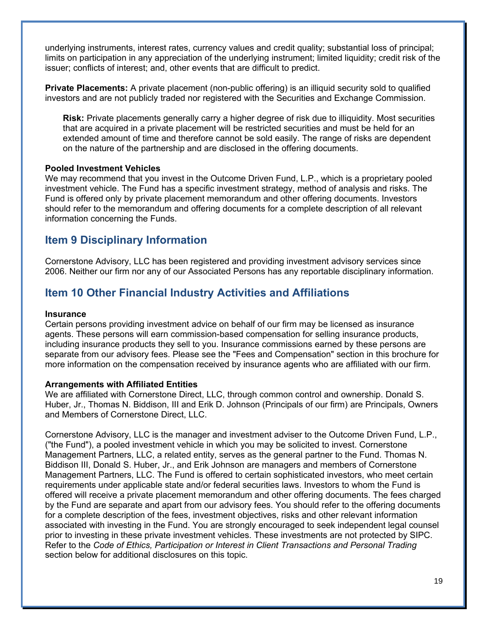underlying instruments, interest rates, currency values and credit quality; substantial loss of principal; limits on participation in any appreciation of the underlying instrument; limited liquidity; credit risk of the issuer; conflicts of interest; and, other events that are difficult to predict.

**Private Placements:** A private placement (non-public offering) is an illiquid security sold to qualified investors and are not publicly traded nor registered with the Securities and Exchange Commission.

**Risk:** Private placements generally carry a higher degree of risk due to illiquidity. Most securities that are acquired in a private placement will be restricted securities and must be held for an extended amount of time and therefore cannot be sold easily. The range of risks are dependent on the nature of the partnership and are disclosed in the offering documents.

### **Pooled Investment Vehicles**

We may recommend that you invest in the Outcome Driven Fund, L.P., which is a proprietary pooled investment vehicle. The Fund has a specific investment strategy, method of analysis and risks. The Fund is offered only by private placement memorandum and other offering documents. Investors should refer to the memorandum and offering documents for a complete description of all relevant information concerning the Funds.

## **Item 9 Disciplinary Information**

Cornerstone Advisory, LLC has been registered and providing investment advisory services since 2006. Neither our firm nor any of our Associated Persons has any reportable disciplinary information.

## **Item 10 Other Financial Industry Activities and Affiliations**

#### **Insurance**

Certain persons providing investment advice on behalf of our firm may be licensed as insurance agents. These persons will earn commission-based compensation for selling insurance products, including insurance products they sell to you. Insurance commissions earned by these persons are separate from our advisory fees. Please see the "Fees and Compensation" section in this brochure for more information on the compensation received by insurance agents who are affiliated with our firm.

#### **Arrangements with Affiliated Entities**

We are affiliated with Cornerstone Direct, LLC, through common control and ownership. Donald S. Huber, Jr., Thomas N. Biddison, III and Erik D. Johnson (Principals of our firm) are Principals, Owners and Members of Cornerstone Direct, LLC.

Cornerstone Advisory, LLC is the manager and investment adviser to the Outcome Driven Fund, L.P., ("the Fund"), a pooled investment vehicle in which you may be solicited to invest. Cornerstone Management Partners, LLC, a related entity, serves as the general partner to the Fund. Thomas N. Biddison III, Donald S. Huber, Jr., and Erik Johnson are managers and members of Cornerstone Management Partners, LLC. The Fund is offered to certain sophisticated investors, who meet certain requirements under applicable state and/or federal securities laws. Investors to whom the Fund is offered will receive a private placement memorandum and other offering documents. The fees charged by the Fund are separate and apart from our advisory fees. You should refer to the offering documents for a complete description of the fees, investment objectives, risks and other relevant information associated with investing in the Fund. You are strongly encouraged to seek independent legal counsel prior to investing in these private investment vehicles. These investments are not protected by SIPC. Refer to the *Code of Ethics, Participation or Interest in Client Transactions and Personal Trading* section below for additional disclosures on this topic.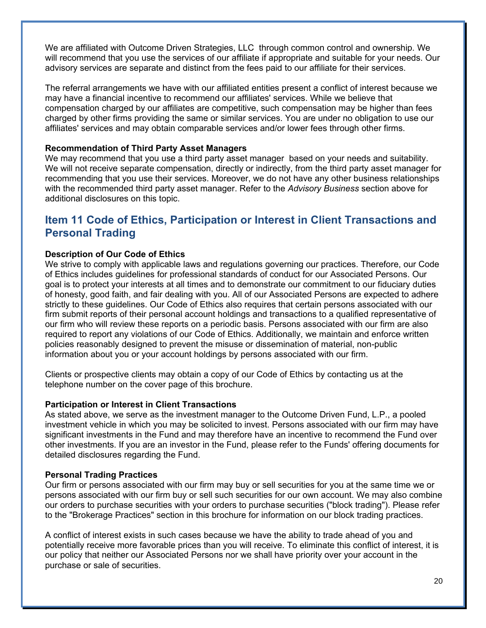We are affiliated with Outcome Driven Strategies, LLC through common control and ownership. We will recommend that you use the services of our affiliate if appropriate and suitable for your needs. Our advisory services are separate and distinct from the fees paid to our affiliate for their services.

The referral arrangements we have with our affiliated entities present a conflict of interest because we may have a financial incentive to recommend our affiliates' services. While we believe that compensation charged by our affiliates are competitive, such compensation may be higher than fees charged by other firms providing the same or similar services. You are under no obligation to use our affiliates' services and may obtain comparable services and/or lower fees through other firms.

#### **Recommendation of Third Party Asset Managers**

We may recommend that you use a third party asset manager based on your needs and suitability. We will not receive separate compensation, directly or indirectly, from the third party asset manager for recommending that you use their services. Moreover, we do not have any other business relationships with the recommended third party asset manager. Refer to the *Advisory Business* section above for additional disclosures on this topic.

## **Item 11 Code of Ethics, Participation or Interest in Client Transactions and Personal Trading**

#### **Description of Our Code of Ethics**

We strive to comply with applicable laws and regulations governing our practices. Therefore, our Code of Ethics includes guidelines for professional standards of conduct for our Associated Persons. Our goal is to protect your interests at all times and to demonstrate our commitment to our fiduciary duties of honesty, good faith, and fair dealing with you. All of our Associated Persons are expected to adhere strictly to these guidelines. Our Code of Ethics also requires that certain persons associated with our firm submit reports of their personal account holdings and transactions to a qualified representative of our firm who will review these reports on a periodic basis. Persons associated with our firm are also required to report any violations of our Code of Ethics. Additionally, we maintain and enforce written policies reasonably designed to prevent the misuse or dissemination of material, non-public information about you or your account holdings by persons associated with our firm.

Clients or prospective clients may obtain a copy of our Code of Ethics by contacting us at the telephone number on the cover page of this brochure.

#### **Participation or Interest in Client Transactions**

As stated above, we serve as the investment manager to the Outcome Driven Fund, L.P., a pooled investment vehicle in which you may be solicited to invest. Persons associated with our firm may have significant investments in the Fund and may therefore have an incentive to recommend the Fund over other investments. If you are an investor in the Fund, please refer to the Funds' offering documents for detailed disclosures regarding the Fund.

#### **Personal Trading Practices**

Our firm or persons associated with our firm may buy or sell securities for you at the same time we or persons associated with our firm buy or sell such securities for our own account. We may also combine our orders to purchase securities with your orders to purchase securities ("block trading"). Please refer to the "Brokerage Practices" section in this brochure for information on our block trading practices.

A conflict of interest exists in such cases because we have the ability to trade ahead of you and potentially receive more favorable prices than you will receive. To eliminate this conflict of interest, it is our policy that neither our Associated Persons nor we shall have priority over your account in the purchase or sale of securities.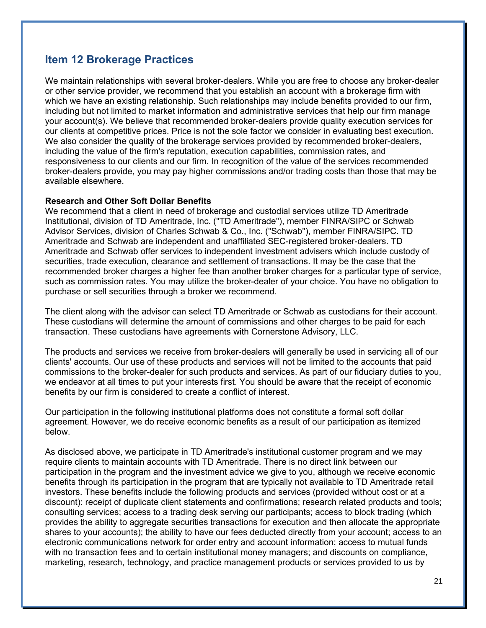## **Item 12 Brokerage Practices**

We maintain relationships with several broker-dealers. While you are free to choose any broker-dealer or other service provider, we recommend that you establish an account with a brokerage firm with which we have an existing relationship. Such relationships may include benefits provided to our firm, including but not limited to market information and administrative services that help our firm manage your account(s). We believe that recommended broker-dealers provide quality execution services for our clients at competitive prices. Price is not the sole factor we consider in evaluating best execution. We also consider the quality of the brokerage services provided by recommended broker-dealers, including the value of the firm's reputation, execution capabilities, commission rates, and responsiveness to our clients and our firm. In recognition of the value of the services recommended broker-dealers provide, you may pay higher commissions and/or trading costs than those that may be available elsewhere.

#### **Research and Other Soft Dollar Benefits**

We recommend that a client in need of brokerage and custodial services utilize TD Ameritrade Institutional, division of TD Ameritrade, Inc. ("TD Ameritrade"), member FINRA/SIPC or Schwab Advisor Services, division of Charles Schwab & Co., Inc. ("Schwab"), member FINRA/SIPC. TD Ameritrade and Schwab are independent and unaffiliated SEC-registered broker-dealers. TD Ameritrade and Schwab offer services to independent investment advisers which include custody of securities, trade execution, clearance and settlement of transactions. It may be the case that the recommended broker charges a higher fee than another broker charges for a particular type of service, such as commission rates. You may utilize the broker-dealer of your choice. You have no obligation to purchase or sell securities through a broker we recommend.

The client along with the advisor can select TD Ameritrade or Schwab as custodians for their account. These custodians will determine the amount of commissions and other charges to be paid for each transaction. These custodians have agreements with Cornerstone Advisory, LLC.

The products and services we receive from broker-dealers will generally be used in servicing all of our clients' accounts. Our use of these products and services will not be limited to the accounts that paid commissions to the broker-dealer for such products and services. As part of our fiduciary duties to you, we endeavor at all times to put your interests first. You should be aware that the receipt of economic benefits by our firm is considered to create a conflict of interest.

Our participation in the following institutional platforms does not constitute a formal soft dollar agreement. However, we do receive economic benefits as a result of our participation as itemized below.

As disclosed above, we participate in TD Ameritrade's institutional customer program and we may require clients to maintain accounts with TD Ameritrade. There is no direct link between our participation in the program and the investment advice we give to you, although we receive economic benefits through its participation in the program that are typically not available to TD Ameritrade retail investors. These benefits include the following products and services (provided without cost or at a discount): receipt of duplicate client statements and confirmations; research related products and tools; consulting services; access to a trading desk serving our participants; access to block trading (which provides the ability to aggregate securities transactions for execution and then allocate the appropriate shares to your accounts); the ability to have our fees deducted directly from your account; access to an electronic communications network for order entry and account information; access to mutual funds with no transaction fees and to certain institutional money managers; and discounts on compliance, marketing, research, technology, and practice management products or services provided to us by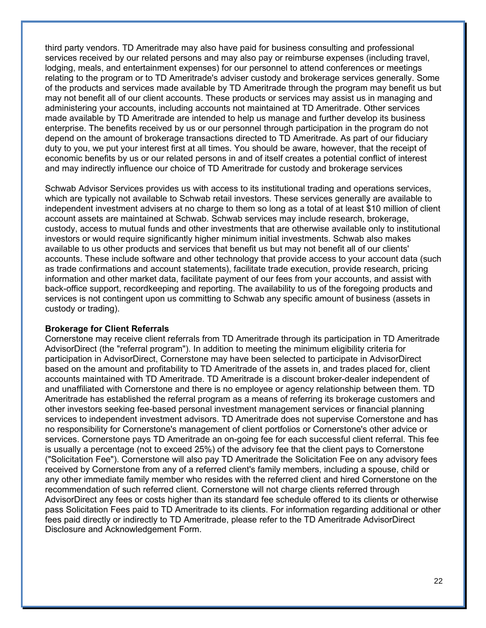third party vendors. TD Ameritrade may also have paid for business consulting and professional services received by our related persons and may also pay or reimburse expenses (including travel, lodging, meals, and entertainment expenses) for our personnel to attend conferences or meetings relating to the program or to TD Ameritrade's adviser custody and brokerage services generally. Some of the products and services made available by TD Ameritrade through the program may benefit us but may not benefit all of our client accounts. These products or services may assist us in managing and administering your accounts, including accounts not maintained at TD Ameritrade. Other services made available by TD Ameritrade are intended to help us manage and further develop its business enterprise. The benefits received by us or our personnel through participation in the program do not depend on the amount of brokerage transactions directed to TD Ameritrade. As part of our fiduciary duty to you, we put your interest first at all times. You should be aware, however, that the receipt of economic benefits by us or our related persons in and of itself creates a potential conflict of interest and may indirectly influence our choice of TD Ameritrade for custody and brokerage services

Schwab Advisor Services provides us with access to its institutional trading and operations services, which are typically not available to Schwab retail investors. These services generally are available to independent investment advisers at no charge to them so long as a total of at least \$10 million of client account assets are maintained at Schwab. Schwab services may include research, brokerage, custody, access to mutual funds and other investments that are otherwise available only to institutional investors or would require significantly higher minimum initial investments. Schwab also makes available to us other products and services that benefit us but may not benefit all of our clients' accounts. These include software and other technology that provide access to your account data (such as trade confirmations and account statements), facilitate trade execution, provide research, pricing information and other market data, facilitate payment of our fees from your accounts, and assist with back-office support, recordkeeping and reporting. The availability to us of the foregoing products and services is not contingent upon us committing to Schwab any specific amount of business (assets in custody or trading).

#### **Brokerage for Client Referrals**

Cornerstone may receive client referrals from TD Ameritrade through its participation in TD Ameritrade AdvisorDirect (the "referral program"). In addition to meeting the minimum eligibility criteria for participation in AdvisorDirect, Cornerstone may have been selected to participate in AdvisorDirect based on the amount and profitability to TD Ameritrade of the assets in, and trades placed for, client accounts maintained with TD Ameritrade. TD Ameritrade is a discount broker-dealer independent of and unaffiliated with Cornerstone and there is no employee or agency relationship between them. TD Ameritrade has established the referral program as a means of referring its brokerage customers and other investors seeking fee-based personal investment management services or financial planning services to independent investment advisors. TD Ameritrade does not supervise Cornerstone and has no responsibility for Cornerstone's management of client portfolios or Cornerstone's other advice or services. Cornerstone pays TD Ameritrade an on-going fee for each successful client referral. This fee is usually a percentage (not to exceed 25%) of the advisory fee that the client pays to Cornerstone ("Solicitation Fee"). Cornerstone will also pay TD Ameritrade the Solicitation Fee on any advisory fees received by Cornerstone from any of a referred client's family members, including a spouse, child or any other immediate family member who resides with the referred client and hired Cornerstone on the recommendation of such referred client. Cornerstone will not charge clients referred through AdvisorDirect any fees or costs higher than its standard fee schedule offered to its clients or otherwise pass Solicitation Fees paid to TD Ameritrade to its clients. For information regarding additional or other fees paid directly or indirectly to TD Ameritrade, please refer to the TD Ameritrade AdvisorDirect Disclosure and Acknowledgement Form.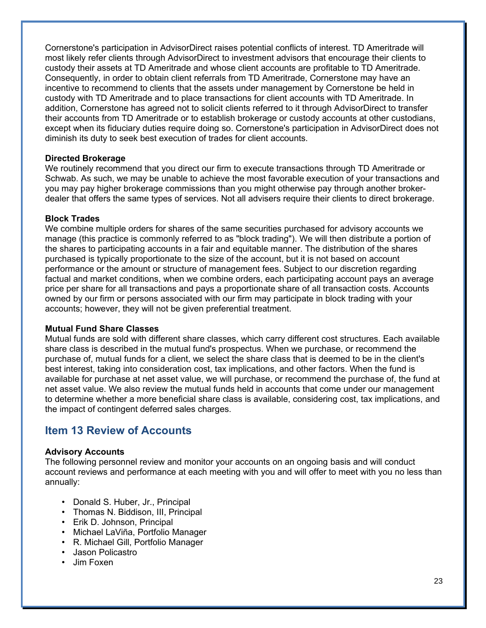Cornerstone's participation in AdvisorDirect raises potential conflicts of interest. TD Ameritrade will most likely refer clients through AdvisorDirect to investment advisors that encourage their clients to custody their assets at TD Ameritrade and whose client accounts are profitable to TD Ameritrade. Consequently, in order to obtain client referrals from TD Ameritrade, Cornerstone may have an incentive to recommend to clients that the assets under management by Cornerstone be held in custody with TD Ameritrade and to place transactions for client accounts with TD Ameritrade. In addition, Cornerstone has agreed not to solicit clients referred to it through AdvisorDirect to transfer their accounts from TD Ameritrade or to establish brokerage or custody accounts at other custodians, except when its fiduciary duties require doing so. Cornerstone's participation in AdvisorDirect does not diminish its duty to seek best execution of trades for client accounts.

#### **Directed Brokerage**

We routinely recommend that you direct our firm to execute transactions through TD Ameritrade or Schwab. As such, we may be unable to achieve the most favorable execution of your transactions and you may pay higher brokerage commissions than you might otherwise pay through another brokerdealer that offers the same types of services. Not all advisers require their clients to direct brokerage.

### **Block Trades**

We combine multiple orders for shares of the same securities purchased for advisory accounts we manage (this practice is commonly referred to as "block trading"). We will then distribute a portion of the shares to participating accounts in a fair and equitable manner. The distribution of the shares purchased is typically proportionate to the size of the account, but it is not based on account performance or the amount or structure of management fees. Subject to our discretion regarding factual and market conditions, when we combine orders, each participating account pays an average price per share for all transactions and pays a proportionate share of all transaction costs. Accounts owned by our firm or persons associated with our firm may participate in block trading with your accounts; however, they will not be given preferential treatment.

#### **Mutual Fund Share Classes**

Mutual funds are sold with different share classes, which carry different cost structures. Each available share class is described in the mutual fund's prospectus. When we purchase, or recommend the purchase of, mutual funds for a client, we select the share class that is deemed to be in the client's best interest, taking into consideration cost, tax implications, and other factors. When the fund is available for purchase at net asset value, we will purchase, or recommend the purchase of, the fund at net asset value. We also review the mutual funds held in accounts that come under our management to determine whether a more beneficial share class is available, considering cost, tax implications, and the impact of contingent deferred sales charges.

## **Item 13 Review of Accounts**

#### **Advisory Accounts**

The following personnel review and monitor your accounts on an ongoing basis and will conduct account reviews and performance at each meeting with you and will offer to meet with you no less than annually:

- Donald S. Huber, Jr., Principal
- Thomas N. Biddison, III, Principal
- Erik D. Johnson, Principal
- Michael LaViña, Portfolio Manager
- R. Michael Gill, Portfolio Manager
- Jason Policastro
- Jim Foxen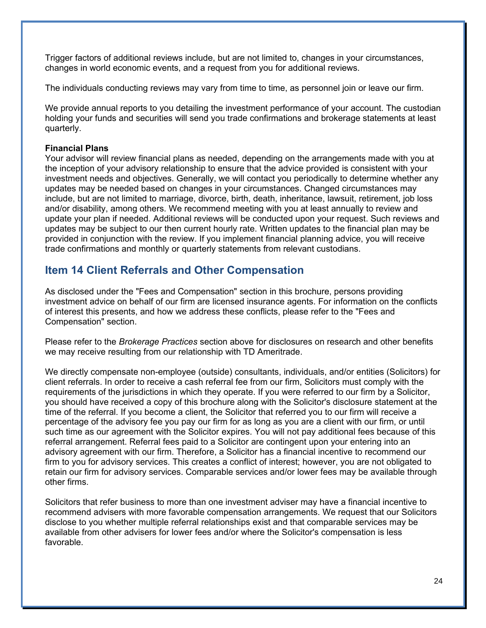Trigger factors of additional reviews include, but are not limited to, changes in your circumstances, changes in world economic events, and a request from you for additional reviews.

The individuals conducting reviews may vary from time to time, as personnel join or leave our firm.

We provide annual reports to you detailing the investment performance of your account. The custodian holding your funds and securities will send you trade confirmations and brokerage statements at least quarterly.

### **Financial Plans**

Your advisor will review financial plans as needed, depending on the arrangements made with you at the inception of your advisory relationship to ensure that the advice provided is consistent with your investment needs and objectives. Generally, we will contact you periodically to determine whether any updates may be needed based on changes in your circumstances. Changed circumstances may include, but are not limited to marriage, divorce, birth, death, inheritance, lawsuit, retirement, job loss and/or disability, among others. We recommend meeting with you at least annually to review and update your plan if needed. Additional reviews will be conducted upon your request. Such reviews and updates may be subject to our then current hourly rate. Written updates to the financial plan may be provided in conjunction with the review. If you implement financial planning advice, you will receive trade confirmations and monthly or quarterly statements from relevant custodians.

## **Item 14 Client Referrals and Other Compensation**

As disclosed under the "Fees and Compensation" section in this brochure, persons providing investment advice on behalf of our firm are licensed insurance agents. For information on the conflicts of interest this presents, and how we address these conflicts, please refer to the "Fees and Compensation" section.

Please refer to the *Brokerage Practices* section above for disclosures on research and other benefits we may receive resulting from our relationship with TD Ameritrade.

We directly compensate non-employee (outside) consultants, individuals, and/or entities (Solicitors) for client referrals. In order to receive a cash referral fee from our firm, Solicitors must comply with the requirements of the jurisdictions in which they operate. If you were referred to our firm by a Solicitor, you should have received a copy of this brochure along with the Solicitor's disclosure statement at the time of the referral. If you become a client, the Solicitor that referred you to our firm will receive a percentage of the advisory fee you pay our firm for as long as you are a client with our firm, or until such time as our agreement with the Solicitor expires. You will not pay additional fees because of this referral arrangement. Referral fees paid to a Solicitor are contingent upon your entering into an advisory agreement with our firm. Therefore, a Solicitor has a financial incentive to recommend our firm to you for advisory services. This creates a conflict of interest; however, you are not obligated to retain our firm for advisory services. Comparable services and/or lower fees may be available through other firms.

Solicitors that refer business to more than one investment adviser may have a financial incentive to recommend advisers with more favorable compensation arrangements. We request that our Solicitors disclose to you whether multiple referral relationships exist and that comparable services may be available from other advisers for lower fees and/or where the Solicitor's compensation is less favorable.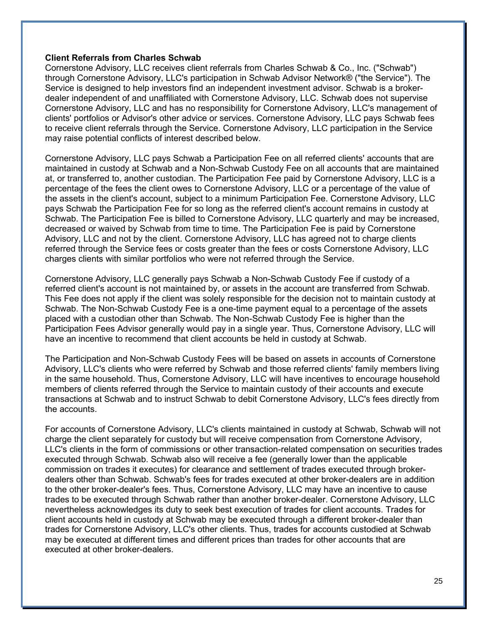#### **Client Referrals from Charles Schwab**

Cornerstone Advisory, LLC receives client referrals from Charles Schwab & Co., Inc. ("Schwab") through Cornerstone Advisory, LLC's participation in Schwab Advisor Network® ("the Service"). The Service is designed to help investors find an independent investment advisor. Schwab is a brokerdealer independent of and unaffiliated with Cornerstone Advisory, LLC. Schwab does not supervise Cornerstone Advisory, LLC and has no responsibility for Cornerstone Advisory, LLC's management of clients' portfolios or Advisor's other advice or services. Cornerstone Advisory, LLC pays Schwab fees to receive client referrals through the Service. Cornerstone Advisory, LLC participation in the Service may raise potential conflicts of interest described below.

Cornerstone Advisory, LLC pays Schwab a Participation Fee on all referred clients' accounts that are maintained in custody at Schwab and a Non-Schwab Custody Fee on all accounts that are maintained at, or transferred to, another custodian. The Participation Fee paid by Cornerstone Advisory, LLC is a percentage of the fees the client owes to Cornerstone Advisory, LLC or a percentage of the value of the assets in the client's account, subject to a minimum Participation Fee. Cornerstone Advisory, LLC pays Schwab the Participation Fee for so long as the referred client's account remains in custody at Schwab. The Participation Fee is billed to Cornerstone Advisory, LLC quarterly and may be increased, decreased or waived by Schwab from time to time. The Participation Fee is paid by Cornerstone Advisory, LLC and not by the client. Cornerstone Advisory, LLC has agreed not to charge clients referred through the Service fees or costs greater than the fees or costs Cornerstone Advisory, LLC charges clients with similar portfolios who were not referred through the Service.

Cornerstone Advisory, LLC generally pays Schwab a Non-Schwab Custody Fee if custody of a referred client's account is not maintained by, or assets in the account are transferred from Schwab. This Fee does not apply if the client was solely responsible for the decision not to maintain custody at Schwab. The Non-Schwab Custody Fee is a one-time payment equal to a percentage of the assets placed with a custodian other than Schwab. The Non-Schwab Custody Fee is higher than the Participation Fees Advisor generally would pay in a single year. Thus, Cornerstone Advisory, LLC will have an incentive to recommend that client accounts be held in custody at Schwab.

The Participation and Non-Schwab Custody Fees will be based on assets in accounts of Cornerstone Advisory, LLC's clients who were referred by Schwab and those referred clients' family members living in the same household. Thus, Cornerstone Advisory, LLC will have incentives to encourage household members of clients referred through the Service to maintain custody of their accounts and execute transactions at Schwab and to instruct Schwab to debit Cornerstone Advisory, LLC's fees directly from the accounts.

For accounts of Cornerstone Advisory, LLC's clients maintained in custody at Schwab, Schwab will not charge the client separately for custody but will receive compensation from Cornerstone Advisory, LLC's clients in the form of commissions or other transaction-related compensation on securities trades executed through Schwab. Schwab also will receive a fee (generally lower than the applicable commission on trades it executes) for clearance and settlement of trades executed through brokerdealers other than Schwab. Schwab's fees for trades executed at other broker-dealers are in addition to the other broker-dealer's fees. Thus, Cornerstone Advisory, LLC may have an incentive to cause trades to be executed through Schwab rather than another broker-dealer. Cornerstone Advisory, LLC nevertheless acknowledges its duty to seek best execution of trades for client accounts. Trades for client accounts held in custody at Schwab may be executed through a different broker-dealer than trades for Cornerstone Advisory, LLC's other clients. Thus, trades for accounts custodied at Schwab may be executed at different times and different prices than trades for other accounts that are executed at other broker-dealers.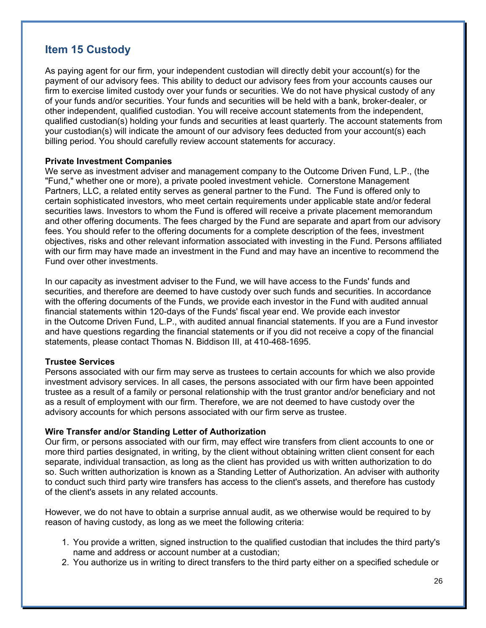## **Item 15 Custody**

As paying agent for our firm, your independent custodian will directly debit your account(s) for the payment of our advisory fees. This ability to deduct our advisory fees from your accounts causes our firm to exercise limited custody over your funds or securities. We do not have physical custody of any of your funds and/or securities. Your funds and securities will be held with a bank, broker-dealer, or other independent, qualified custodian. You will receive account statements from the independent, qualified custodian(s) holding your funds and securities at least quarterly. The account statements from your custodian(s) will indicate the amount of our advisory fees deducted from your account(s) each billing period. You should carefully review account statements for accuracy.

### **Private Investment Companies**

We serve as investment adviser and management company to the Outcome Driven Fund, L.P., (the "Fund," whether one or more), a private pooled investment vehicle. Cornerstone Management Partners, LLC, a related entity serves as general partner to the Fund. The Fund is offered only to certain sophisticated investors, who meet certain requirements under applicable state and/or federal securities laws. Investors to whom the Fund is offered will receive a private placement memorandum and other offering documents. The fees charged by the Fund are separate and apart from our advisory fees. You should refer to the offering documents for a complete description of the fees, investment objectives, risks and other relevant information associated with investing in the Fund. Persons affiliated with our firm may have made an investment in the Fund and may have an incentive to recommend the Fund over other investments.

In our capacity as investment adviser to the Fund, we will have access to the Funds' funds and securities, and therefore are deemed to have custody over such funds and securities. In accordance with the offering documents of the Funds, we provide each investor in the Fund with audited annual financial statements within 120-days of the Funds' fiscal year end. We provide each investor in the Outcome Driven Fund, L.P., with audited annual financial statements. If you are a Fund investor and have questions regarding the financial statements or if you did not receive a copy of the financial statements, please contact Thomas N. Biddison III, at 410-468-1695.

### **Trustee Services**

Persons associated with our firm may serve as trustees to certain accounts for which we also provide investment advisory services. In all cases, the persons associated with our firm have been appointed trustee as a result of a family or personal relationship with the trust grantor and/or beneficiary and not as a result of employment with our firm. Therefore, we are not deemed to have custody over the advisory accounts for which persons associated with our firm serve as trustee.

### **Wire Transfer and/or Standing Letter of Authorization**

Our firm, or persons associated with our firm, may effect wire transfers from client accounts to one or more third parties designated, in writing, by the client without obtaining written client consent for each separate, individual transaction, as long as the client has provided us with written authorization to do so. Such written authorization is known as a Standing Letter of Authorization. An adviser with authority to conduct such third party wire transfers has access to the client's assets, and therefore has custody of the client's assets in any related accounts.

However, we do not have to obtain a surprise annual audit, as we otherwise would be required to by reason of having custody, as long as we meet the following criteria:

- 1. You provide a written, signed instruction to the qualified custodian that includes the third party's name and address or account number at a custodian;
- 2. You authorize us in writing to direct transfers to the third party either on a specified schedule or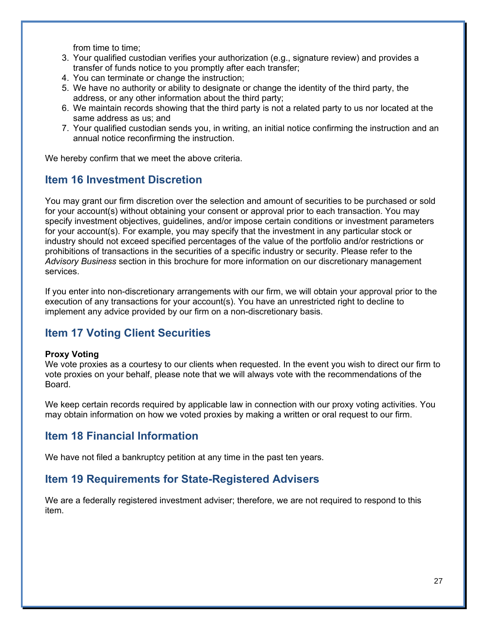from time to time;

- 3. Your qualified custodian verifies your authorization (e.g., signature review) and provides a transfer of funds notice to you promptly after each transfer;
- 4. You can terminate or change the instruction;
- 5. We have no authority or ability to designate or change the identity of the third party, the address, or any other information about the third party;
- 6. We maintain records showing that the third party is not a related party to us nor located at the same address as us; and
- 7. Your qualified custodian sends you, in writing, an initial notice confirming the instruction and an annual notice reconfirming the instruction.

We hereby confirm that we meet the above criteria.

## **Item 16 Investment Discretion**

You may grant our firm discretion over the selection and amount of securities to be purchased or sold for your account(s) without obtaining your consent or approval prior to each transaction. You may specify investment objectives, guidelines, and/or impose certain conditions or investment parameters for your account(s). For example, you may specify that the investment in any particular stock or industry should not exceed specified percentages of the value of the portfolio and/or restrictions or prohibitions of transactions in the securities of a specific industry or security. Please refer to the *Advisory Business* section in this brochure for more information on our discretionary management services.

If you enter into non-discretionary arrangements with our firm, we will obtain your approval prior to the execution of any transactions for your account(s). You have an unrestricted right to decline to implement any advice provided by our firm on a non-discretionary basis.

## **Item 17 Voting Client Securities**

#### **Proxy Voting**

We vote proxies as a courtesy to our clients when requested. In the event you wish to direct our firm to vote proxies on your behalf, please note that we will always vote with the recommendations of the Board.

We keep certain records required by applicable law in connection with our proxy voting activities. You may obtain information on how we voted proxies by making a written or oral request to our firm.

## **Item 18 Financial Information**

We have not filed a bankruptcy petition at any time in the past ten years.

## **Item 19 Requirements for State-Registered Advisers**

We are a federally registered investment adviser; therefore, we are not required to respond to this item.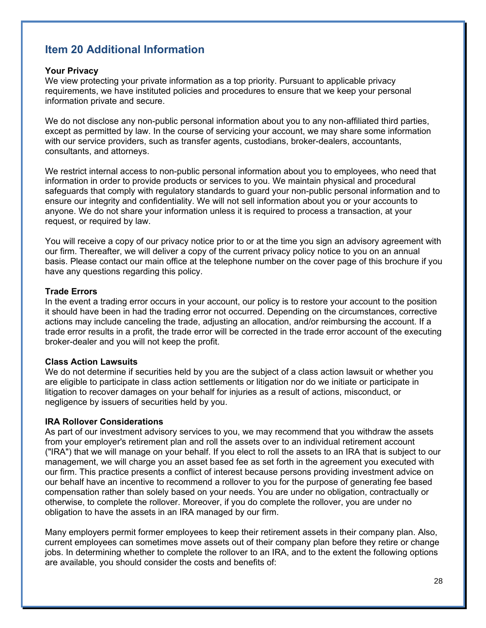## **Item 20 Additional Information**

#### **Your Privacy**

We view protecting your private information as a top priority. Pursuant to applicable privacy requirements, we have instituted policies and procedures to ensure that we keep your personal information private and secure.

We do not disclose any non-public personal information about you to any non-affiliated third parties, except as permitted by law. In the course of servicing your account, we may share some information with our service providers, such as transfer agents, custodians, broker-dealers, accountants, consultants, and attorneys.

We restrict internal access to non-public personal information about you to employees, who need that information in order to provide products or services to you. We maintain physical and procedural safeguards that comply with regulatory standards to guard your non-public personal information and to ensure our integrity and confidentiality. We will not sell information about you or your accounts to anyone. We do not share your information unless it is required to process a transaction, at your request, or required by law.

You will receive a copy of our privacy notice prior to or at the time you sign an advisory agreement with our firm. Thereafter, we will deliver a copy of the current privacy policy notice to you on an annual basis. Please contact our main office at the telephone number on the cover page of this brochure if you have any questions regarding this policy.

#### **Trade Errors**

In the event a trading error occurs in your account, our policy is to restore your account to the position it should have been in had the trading error not occurred. Depending on the circumstances, corrective actions may include canceling the trade, adjusting an allocation, and/or reimbursing the account. If a trade error results in a profit, the trade error will be corrected in the trade error account of the executing broker-dealer and you will not keep the profit.

#### **Class Action Lawsuits**

We do not determine if securities held by you are the subject of a class action lawsuit or whether you are eligible to participate in class action settlements or litigation nor do we initiate or participate in litigation to recover damages on your behalf for injuries as a result of actions, misconduct, or negligence by issuers of securities held by you.

#### **IRA Rollover Considerations**

As part of our investment advisory services to you, we may recommend that you withdraw the assets from your employer's retirement plan and roll the assets over to an individual retirement account ("IRA") that we will manage on your behalf. If you elect to roll the assets to an IRA that is subject to our management, we will charge you an asset based fee as set forth in the agreement you executed with our firm. This practice presents a conflict of interest because persons providing investment advice on our behalf have an incentive to recommend a rollover to you for the purpose of generating fee based compensation rather than solely based on your needs. You are under no obligation, contractually or otherwise, to complete the rollover. Moreover, if you do complete the rollover, you are under no obligation to have the assets in an IRA managed by our firm.

Many employers permit former employees to keep their retirement assets in their company plan. Also, current employees can sometimes move assets out of their company plan before they retire or change jobs. In determining whether to complete the rollover to an IRA, and to the extent the following options are available, you should consider the costs and benefits of: